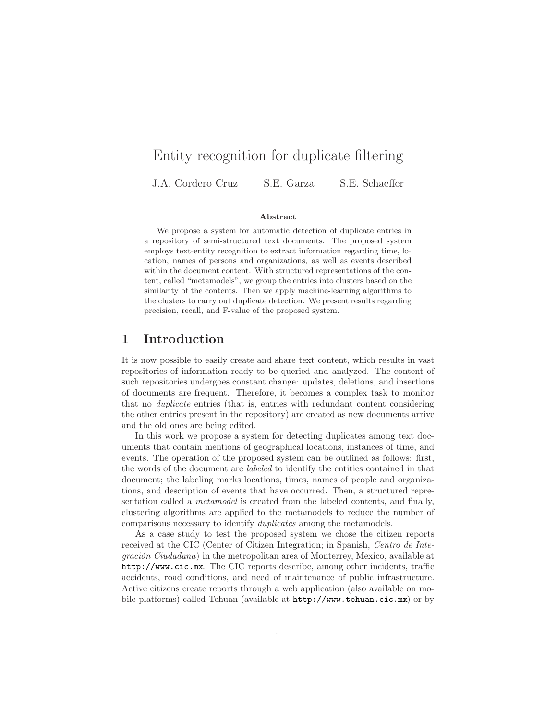# Entity recognition for duplicate filtering

J.A. Cordero Cruz S.E. Garza S.E. Schaeffer

#### Abstract

We propose a system for automatic detection of duplicate entries in a repository of semi-structured text documents. The proposed system employs text-entity recognition to extract information regarding time, location, names of persons and organizations, as well as events described within the document content. With structured representations of the content, called "metamodels", we group the entries into clusters based on the similarity of the contents. Then we apply machine-learning algorithms to the clusters to carry out duplicate detection. We present results regarding precision, recall, and F-value of the proposed system.

## <span id="page-0-0"></span>1 Introduction

It is now possible to easily create and share text content, which results in vast repositories of information ready to be queried and analyzed. The content of such repositories undergoes constant change: updates, deletions, and insertions of documents are frequent. Therefore, it becomes a complex task to monitor that no *duplicate* entries (that is, entries with redundant content considering the other entries present in the repository) are created as new documents arrive and the old ones are being edited.

In this work we propose a system for detecting duplicates among text documents that contain mentions of geographical locations, instances of time, and events. The operation of the proposed system can be outlined as follows: first, the words of the document are *labeled* to identify the entities contained in that document; the labeling marks locations, times, names of people and organizations, and description of events that have occurred. Then, a structured representation called a *metamodel* is created from the labeled contents, and finally, clustering algorithms are applied to the metamodels to reduce the number of comparisons necessary to identify *duplicates* among the metamodels.

As a case study to test the proposed system we chose the citizen reports received at the CIC (Center of Citizen Integration; in Spanish, *Centro de Integración Ciudadana*) in the metropolitan area of Monterrey, Mexico, available at <http://www.cic.mx>. The CIC reports describe, among other incidents, traffic accidents, road conditions, and need of maintenance of public infrastructure. Active citizens create reports through a web application (also available on mobile platforms) called Tehuan (available at <http://www.tehuan.cic.mx>) or by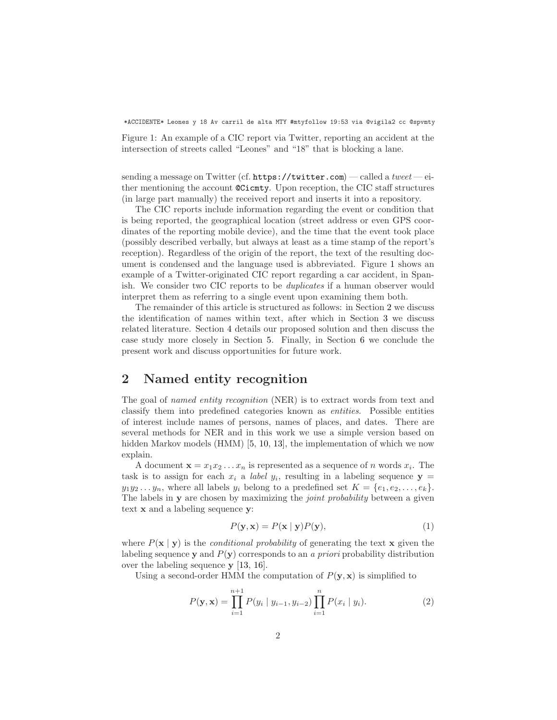<span id="page-1-0"></span>\*ACCIDENTE\* Leones y 18 Av carril de alta MTY #mtyfollow 19:53 via @vigila2 cc @spvmty

Figure 1: An example of a CIC report via Twitter, reporting an accident at the intersection of streets called "Leones" and "18" that is blocking a lane.

sending a message on Twitter (cf. <https://twitter.com>) — called a *tweet* — either mentioning the account <@Cicmty>. Upon reception, the CIC staff structures (in large part manually) the received report and inserts it into a repository.

The CIC reports include information regarding the event or condition that is being reported, the geographical location (street address or even GPS coordinates of the reporting mobile device), and the time that the event took place (possibly described verbally, but always at least as a time stamp of the report's reception). Regardless of the origin of the report, the text of the resulting document is condensed and the language used is abbreviated. Figure [1](#page-1-0) shows an example of a Twitter-originated CIC report regarding a car accident, in Spanish. We consider two CIC reports to be *duplicates* if a human observer would interpret them as referring to a single event upon examining them both.

The remainder of this article is structured as follows: in Section [2](#page-1-1) we discuss the identification of names within text, after which in Section [3](#page-2-0) we discuss related literature. Section [4](#page-3-0) details our proposed solution and then discuss the case study more closely in Section [5.](#page-4-0) Finally, in Section [6](#page-9-0) we conclude the present work and discuss opportunities for future work.

# <span id="page-1-1"></span>2 Named entity recognition

The goal of *named entity recognition* (NER) is to extract words from text and classify them into predefined categories known as *entities*. Possible entities of interest include names of persons, names of places, and dates. There are several methods for NER and in this work we use a simple version based on hidden Markov models (HMM) [\[5](#page-10-0), [10,](#page-10-1) [13\]](#page-11-0), the implementation of which we now explain.

A document  $\mathbf{x} = x_1 x_2 \dots x_n$  is represented as a sequence of *n* words  $x_i$ . The task is to assign for each  $x_i$  a *label*  $y_i$ , resulting in a labeling sequence  $y =$  $y_1y_2 \tldots y_n$ , where all labels  $y_i$  belong to a predefined set  $K = \{e_1, e_2, \ldots, e_k\}.$ The labels in y are chosen by maximizing the *joint probability* between a given text x and a labeling sequence y:

$$
P(\mathbf{y}, \mathbf{x}) = P(\mathbf{x} \mid \mathbf{y}) P(\mathbf{y}),\tag{1}
$$

where  $P(x | y)$  is the *conditional probability* of generating the text x given the labeling sequence y and P(y) corresponds to an *a priori* probability distribution over the labeling sequence y [\[13](#page-11-0), [16](#page-11-1)].

Using a second-order HMM the computation of  $P(y, x)$  is simplified to

$$
P(\mathbf{y}, \mathbf{x}) = \prod_{i=1}^{n+1} P(y_i \mid y_{i-1}, y_{i-2}) \prod_{i=1}^n P(x_i \mid y_i).
$$
 (2)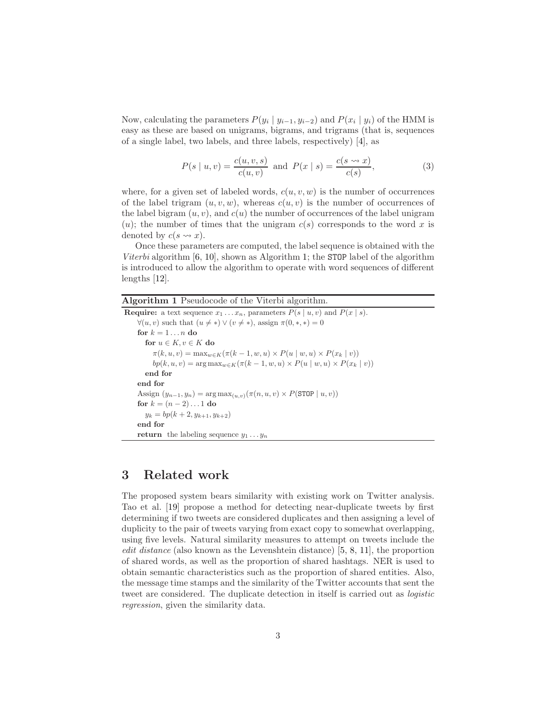Now, calculating the parameters  $P(y_i | y_{i-1}, y_{i-2})$  and  $P(x_i | y_i)$  of the HMM is easy as these are based on unigrams, bigrams, and trigrams (that is, sequences of a single label, two labels, and three labels, respectively) [\[4](#page-10-2)], as

$$
P(s | u, v) = \frac{c(u, v, s)}{c(u, v)} \text{ and } P(x | s) = \frac{c(s \rightsquigarrow x)}{c(s)},
$$
\n(3)

where, for a given set of labeled words,  $c(u, v, w)$  is the number of occurrences of the label trigram  $(u, v, w)$ , whereas  $c(u, v)$  is the number of occurrences of the label bigram  $(u, v)$ , and  $c(u)$  the number of occurrences of the label unigram (u); the number of times that the unigram  $c(s)$  corresponds to the word x is denoted by  $c(s \leadsto x)$ .

Once these parameters are computed, the label sequence is obtained with the *Viterbi* algorithm [\[6,](#page-10-3) [10](#page-10-1)], shown as Algorithm [1;](#page-2-1) the **STOP** label of the algorithm is introduced to allow the algorithm to operate with word sequences of different lengths [\[12\]](#page-10-4).

#### <span id="page-2-1"></span>Algorithm 1 Pseudocode of the Viterbi algorithm.

```
Require: a text sequence x_1 \ldots x_n, parameters P(s | u, v) and P(x | s).
    \forall (u, v) such that (u \neq *) \vee (v \neq *), assign \pi(0, *, *) = 0for k = 1 \ldots n do
       for u \in K, v \in K do
          \pi(k, u, v) = \max_{w \in K} (\pi(k - 1, w, u) \times P(u \mid w, u) \times P(x_k \mid v))bp(k, u, v) = \arg \max_{w \in K} (\pi(k - 1, w, u) \times P(u \mid w, u) \times P(x_k \mid v))end for
     end for
     Assign (y_{n-1}, y_n) = \arg \max_{(u,v)} (\pi(n, u, v) \times P(\text{STOP} | u, v))for k = (n - 2) \dots 1 do
       y_k = bp(k + 2, y_{k+1}, y_{k+2})end for
     return the labeling sequence y_1 \ldots y_n
```
### <span id="page-2-0"></span>3 Related work

The proposed system bears similarity with existing work on Twitter analysis. Tao et al. [\[19\]](#page-11-2) propose a method for detecting near-duplicate tweets by first determining if two tweets are considered duplicates and then assigning a level of duplicity to the pair of tweets varying from exact copy to somewhat overlapping, using five levels. Natural similarity measures to attempt on tweets include the *edit distance* (also known as the Levenshtein distance) [\[5](#page-10-0), [8,](#page-10-5) [11\]](#page-10-6), the proportion of shared words, as well as the proportion of shared hashtags. NER is used to obtain semantic characteristics such as the proportion of shared entities. Also, the message time stamps and the similarity of the Twitter accounts that sent the tweet are considered. The duplicate detection in itself is carried out as *logistic regression*, given the similarity data.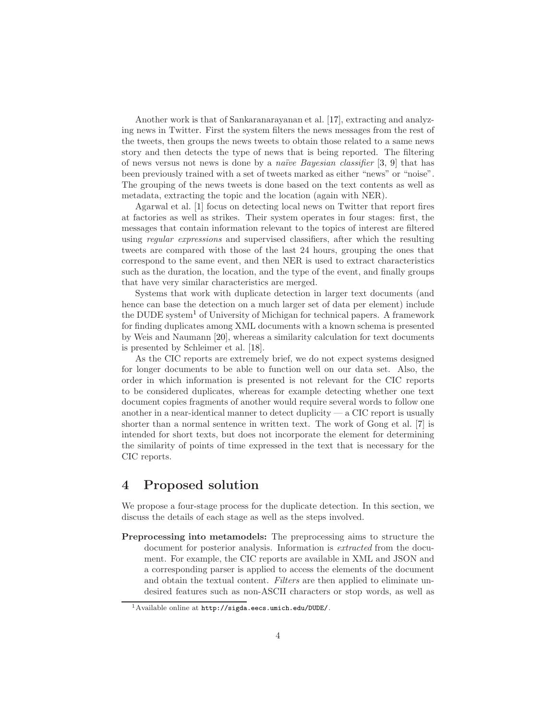Another work is that of Sankaranarayanan et al. [\[17](#page-11-3)], extracting and analyzing news in Twitter. First the system filters the news messages from the rest of the tweets, then groups the news tweets to obtain those related to a same news story and then detects the type of news that is being reported. The filtering of news versus not news is done by a *na¨ıve Bayesian classifier* [\[3,](#page-10-7) [9](#page-10-8)] that has been previously trained with a set of tweets marked as either "news" or "noise". The grouping of the news tweets is done based on the text contents as well as metadata, extracting the topic and the location (again with NER).

Agarwal et al. [\[1](#page-10-9)] focus on detecting local news on Twitter that report fires at factories as well as strikes. Their system operates in four stages: first, the messages that contain information relevant to the topics of interest are filtered using *regular expressions* and supervised classifiers, after which the resulting tweets are compared with those of the last 24 hours, grouping the ones that correspond to the same event, and then NER is used to extract characteristics such as the duration, the location, and the type of the event, and finally groups that have very similar characteristics are merged.

Systems that work with duplicate detection in larger text documents (and hence can base the detection on a much larger set of data per element) include the DUDE system<sup>[1](#page-3-1)</sup> of University of Michigan for technical papers. A framework for finding duplicates among XML documents with a known schema is presented by Weis and Naumann [\[20\]](#page-11-4), whereas a similarity calculation for text documents is presented by Schleimer et al. [\[18\]](#page-11-5).

As the CIC reports are extremely brief, we do not expect systems designed for longer documents to be able to function well on our data set. Also, the order in which information is presented is not relevant for the CIC reports to be considered duplicates, whereas for example detecting whether one text document copies fragments of another would require several words to follow one another in a near-identical manner to detect duplicity — a CIC report is usually shorter than a normal sentence in written text. The work of Gong et al. [\[7\]](#page-10-10) is intended for short texts, but does not incorporate the element for determining the similarity of points of time expressed in the text that is necessary for the CIC reports.

## <span id="page-3-0"></span>4 Proposed solution

We propose a four-stage process for the duplicate detection. In this section, we discuss the details of each stage as well as the steps involved.

Preprocessing into metamodels: The preprocessing aims to structure the document for posterior analysis. Information is *extracted* from the document. For example, the CIC reports are available in XML and JSON and a corresponding parser is applied to access the elements of the document and obtain the textual content. *Filters* are then applied to eliminate undesired features such as non-ASCII characters or stop words, as well as

<span id="page-3-1"></span><sup>1</sup>Available online at <http://sigda.eecs.umich.edu/DUDE/>.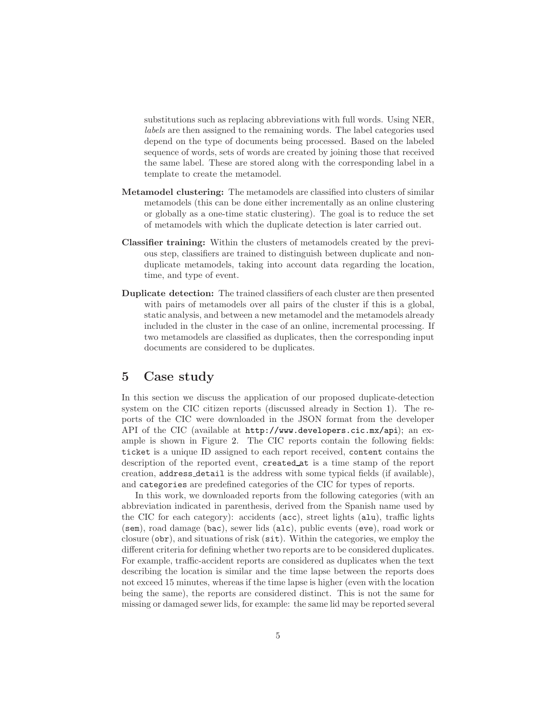substitutions such as replacing abbreviations with full words. Using NER, *labels* are then assigned to the remaining words. The label categories used depend on the type of documents being processed. Based on the labeled sequence of words, sets of words are created by joining those that received the same label. These are stored along with the corresponding label in a template to create the metamodel.

- Metamodel clustering: The metamodels are classified into clusters of similar metamodels (this can be done either incrementally as an online clustering or globally as a one-time static clustering). The goal is to reduce the set of metamodels with which the duplicate detection is later carried out.
- Classifier training: Within the clusters of metamodels created by the previous step, classifiers are trained to distinguish between duplicate and nonduplicate metamodels, taking into account data regarding the location, time, and type of event.
- Duplicate detection: The trained classifiers of each cluster are then presented with pairs of metamodels over all pairs of the cluster if this is a global, static analysis, and between a new metamodel and the metamodels already included in the cluster in the case of an online, incremental processing. If two metamodels are classified as duplicates, then the corresponding input documents are considered to be duplicates.

## <span id="page-4-0"></span>5 Case study

In this section we discuss the application of our proposed duplicate-detection system on the CIC citizen reports (discussed already in Section [1\)](#page-0-0). The reports of the CIC were downloaded in the JSON format from the developer API of the CIC (available at <http://www.developers.cic.mx/api>); an example is shown in Figure [2.](#page-5-0) The CIC reports contain the following fields: ticket is a unique ID assigned to each report received, content contains the description of the reported event, created at is a time stamp of the report creation, address detail is the address with some typical fields (if available), and categories are predefined categories of the CIC for types of reports.

In this work, we downloaded reports from the following categories (with an abbreviation indicated in parenthesis, derived from the Spanish name used by the CIC for each category): accidents (acc), street lights (alu), traffic lights (sem), road damage (bac), sewer lids (alc), public events (eve), road work or closure (obr), and situations of risk (sit). Within the categories, we employ the different criteria for defining whether two reports are to be considered duplicates. For example, traffic-accident reports are considered as duplicates when the text describing the location is similar and the time lapse between the reports does not exceed 15 minutes, whereas if the time lapse is higher (even with the location being the same), the reports are considered distinct. This is not the same for missing or damaged sewer lids, for example: the same lid may be reported several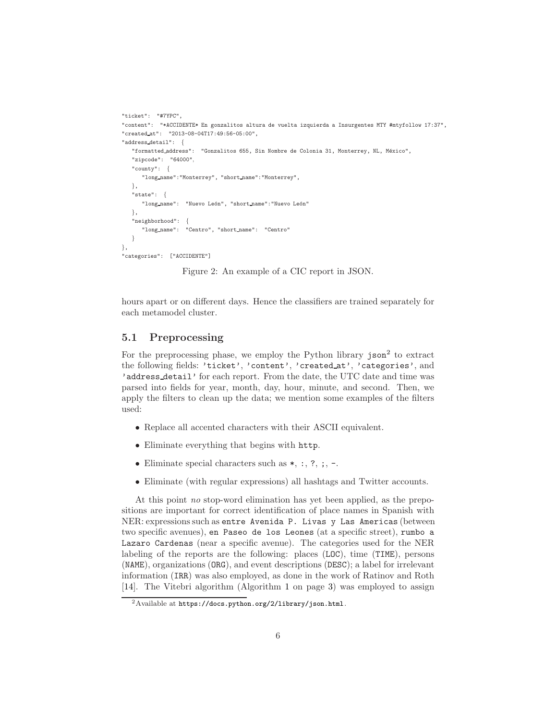```
"ticket": "#7YPC",
"content": "*ACCIDENTE* En gonzalitos altura de vuelta izquierda a Insurgentes MTY #mtyfollow 17:37",
"created at": "2013-08-04T17:49:56-05:00",
"address detail": {
   "formatted_address": "Gonzalitos 655, Sin Nombre de Colonia 31, Monterrey, NL, México",
   "zipcode": "64000",
   "county": {
      "long name":"Monterrey", "short name":"Monterrey",
   },
   "state": {
      "long_name": "Nuevo León", "short_name":"Nuevo León"
   },
   "neighborhood": {
      "long name": "Centro", "short name": "Centro"
   }
},
"categories": ["ACCIDENTE"]
```
Figure 2: An example of a CIC report in JSON.

hours apart or on different days. Hence the classifiers are trained separately for each metamodel cluster.

#### <span id="page-5-2"></span>5.1 Preprocessing

For the preprocessing phase, we employ the Python library  $j\text{son}^2$  $j\text{son}^2$  to extract the following fields: 'ticket', 'content', 'created at', 'categories', and 'address detail' for each report. From the date, the UTC date and time was parsed into fields for year, month, day, hour, minute, and second. Then, we apply the filters to clean up the data; we mention some examples of the filters used:

- Replace all accented characters with their ASCII equivalent.
- Eliminate everything that begins with http.
- Eliminate special characters such as  $*,$ ;, ?,;, -.
- Eliminate (with regular expressions) all hashtags and Twitter accounts.

At this point *no* stop-word elimination has yet been applied, as the prepositions are important for correct identification of place names in Spanish with NER: expressions such as entre Avenida P. Livas y Las Americas (between two specific avenues), en Paseo de los Leones (at a specific street), rumbo a Lazaro Cardenas (near a specific avenue). The categories used for the NER labeling of the reports are the following: places (LOC), time (TIME), persons (NAME), organizations (ORG), and event descriptions (DESC); a label for irrelevant information (IRR) was also employed, as done in the work of Ratinov and Roth [\[14\]](#page-11-6). The Vitebri algorithm (Algorithm [1](#page-2-1) on page [3\)](#page-2-1) was employed to assign

<span id="page-5-1"></span> $^{2}$ Available at <https://docs.python.org/2/library/json.html>.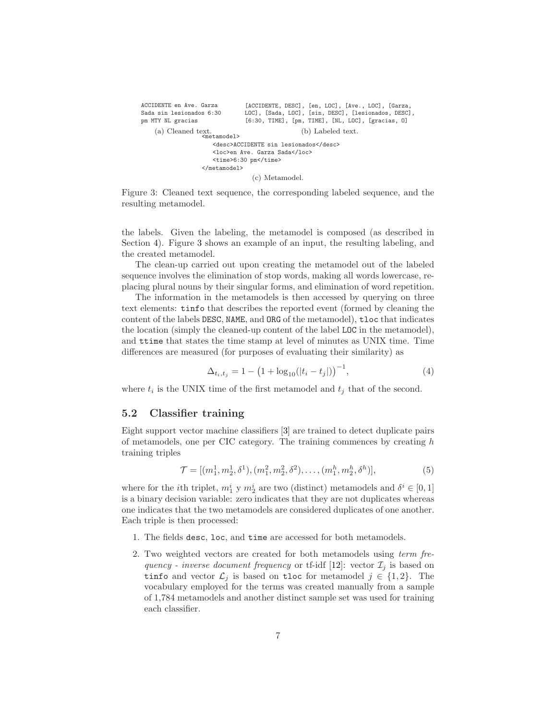```
ACCIDENTE en Ave. Garza
Sada sin lesionados 6:30
pm MTY NL gracias
    (a) Cleaned text.<br>
<metamodel>
                                [ACCIDENTE, DESC], [en, LOC], [Ave., LOC], [Garza,
                               LOC], [Sada, LOC], [sin, DESC], [lesionados, DESC],
                               [6:30, TIME], [pm, TIME], [NL, LOC], [gracias, O]
                                                 (b) Labeled text.
                     <desc>ACCIDENTE sin lesionados</desc>
                      <loc>en Ave. Garza Sada</loc>
                      <time>6:30 pm</time>
                  </metamodel>
                                  (c) Metamodel.
```
Figure 3: Cleaned text sequence, the corresponding labeled sequence, and the resulting metamodel.

the labels. Given the labeling, the metamodel is composed (as described in Section [4\)](#page-3-0). Figure [3](#page-6-0) shows an example of an input, the resulting labeling, and the created metamodel.

The clean-up carried out upon creating the metamodel out of the labeled sequence involves the elimination of stop words, making all words lowercase, replacing plural nouns by their singular forms, and elimination of word repetition.

The information in the metamodels is then accessed by querying on three text elements: tinfo that describes the reported event (formed by cleaning the content of the labels DESC, NAME, and ORG of the metamodel), tloc that indicates the location (simply the cleaned-up content of the label LOC in the metamodel), and ttime that states the time stamp at level of minutes as UNIX time. Time differences are measured (for purposes of evaluating their similarity) as

<span id="page-6-1"></span>
$$
\Delta_{t_i, t_j} = 1 - \left(1 + \log_{10}(|t_i - t_j|)\right)^{-1},\tag{4}
$$

where  $t_i$  is the UNIX time of the first metamodel and  $t_j$  that of the second.

#### 5.2 Classifier training

Eight support vector machine classifiers [\[3](#page-10-7)] are trained to detect duplicate pairs of metamodels, one per CIC category. The training commences by creating h training triples

$$
\mathcal{T} = [(m_1^1, m_2^1, \delta^1), (m_1^2, m_2^2, \delta^2), \dots, (m_1^h, m_2^h, \delta^h)],\tag{5}
$$

where for the *i*<sup>th</sup> triplet,  $m_1^i$  y  $m_2^i$  are two (distinct) metamodels and  $\delta^i \in [0,1]$ is a binary decision variable: zero indicates that they are not duplicates whereas one indicates that the two metamodels are considered duplicates of one another. Each triple is then processed:

- 1. The fields desc, loc, and time are accessed for both metamodels.
- 2. Two weighted vectors are created for both metamodels using *term frequency - inverse document frequency* or tf-idf [\[12\]](#page-10-4): vector  $\mathcal{I}_j$  is based on tinfo and vector  $\mathcal{L}_j$  is based on tloc for metamodel  $j \in \{1,2\}$ . The vocabulary employed for the terms was created manually from a sample of 1,784 metamodels and another distinct sample set was used for training each classifier.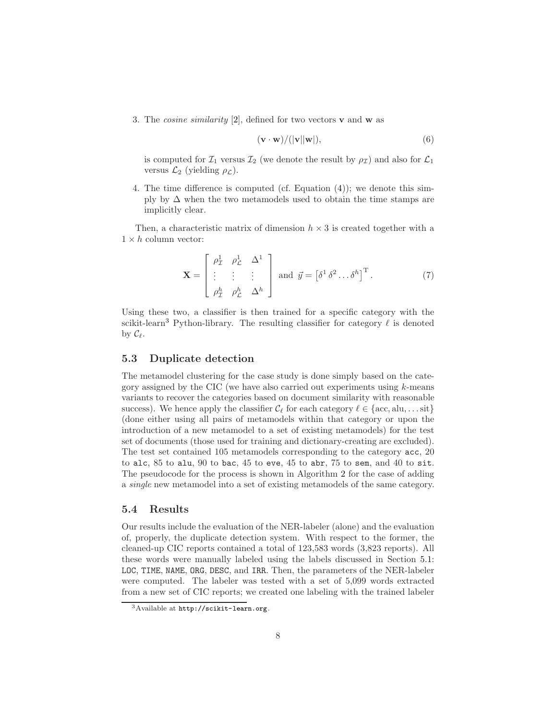3. The *cosine similarity* [\[2\]](#page-10-11), defined for two vectors v and w as

<span id="page-7-1"></span>
$$
(\mathbf{v} \cdot \mathbf{w})/(|\mathbf{v}||\mathbf{w}|),\tag{6}
$$

is computed for  $\mathcal{I}_1$  versus  $\mathcal{I}_2$  (we denote the result by  $\rho_{\mathcal{I}}$ ) and also for  $\mathcal{L}_1$ versus  $\mathcal{L}_2$  (yielding  $\rho_{\mathcal{L}}$ ).

4. The time difference is computed (cf. Equation [\(4\)](#page-6-1)); we denote this simply by  $\Delta$  when the two metamodels used to obtain the time stamps are implicitly clear.

Then, a characteristic matrix of dimension  $h \times 3$  is created together with a  $1 \times h$  column vector:

$$
\mathbf{X} = \begin{bmatrix} \rho_{\mathcal{I}}^1 & \rho_{\mathcal{L}}^1 & \Delta^1 \\ \vdots & \vdots & \vdots \\ \rho_{\mathcal{I}}^h & \rho_{\mathcal{L}}^h & \Delta^h \end{bmatrix} \text{ and } \vec{y} = \begin{bmatrix} \delta^1 & \delta^2 & \dots & \delta^h \end{bmatrix}^\mathrm{T} . \tag{7}
$$

Using these two, a classifier is then trained for a specific category with the scikit-learn<sup>[3](#page-7-0)</sup> Python-library. The resulting classifier for category  $\ell$  is denoted by  $\mathcal{C}_{\ell}$ .

#### 5.3 Duplicate detection

The metamodel clustering for the case study is done simply based on the category assigned by the CIC (we have also carried out experiments using  $k$ -means variants to recover the categories based on document similarity with reasonable success). We hence apply the classifier  $\mathcal{C}_{\ell}$  for each category  $\ell \in \{\text{acc}, \text{alu}, \dots \text{sit}\}\$ (done either using all pairs of metamodels within that category or upon the introduction of a new metamodel to a set of existing metamodels) for the test set of documents (those used for training and dictionary-creating are excluded). The test set contained 105 metamodels corresponding to the category acc, 20 to alc, 85 to alu, 90 to bac, 45 to eve, 45 to abr, 75 to sem, and 40 to sit. The pseudocode for the process is shown in Algorithm [2](#page-8-0) for the case of adding a *single* new metamodel into a set of existing metamodels of the same category.

#### 5.4 Results

Our results include the evaluation of the NER-labeler (alone) and the evaluation of, properly, the duplicate detection system. With respect to the former, the cleaned-up CIC reports contained a total of 123,583 words (3,823 reports). All these words were manually labeled using the labels discussed in Section [5.1:](#page-5-2) LOC, TIME, NAME, ORG, DESC, and IRR. Then, the parameters of the NER-labeler were computed. The labeler was tested with a set of 5,099 words extracted from a new set of CIC reports; we created one labeling with the trained labeler

<span id="page-7-0"></span><sup>3</sup>Available at <http://scikit-learn.org>.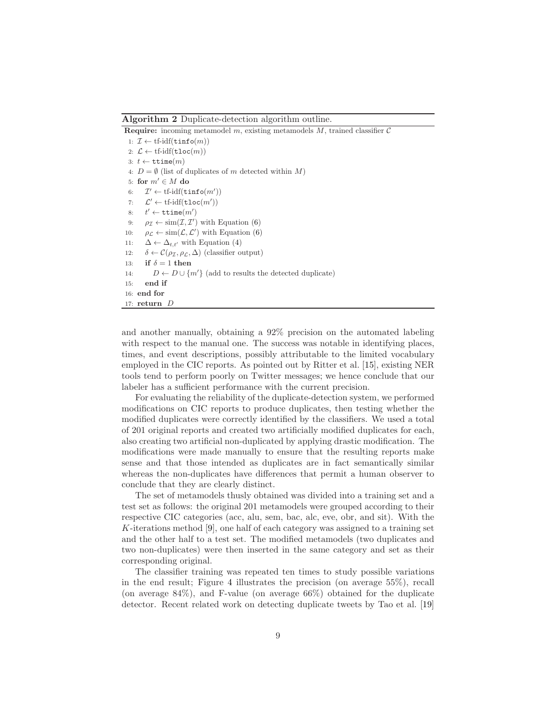<span id="page-8-0"></span>Algorithm 2 Duplicate-detection algorithm outline.

**Require:** incoming metamodel  $m$ , existing metamodels  $M$ , trained classifier  $C$ 1:  $I$  ← tf-idf(tinfo(m)) 2:  $\mathcal{L} \leftarrow \text{tf-idf}(\texttt{tloc}(m))$ 3:  $t \leftarrow \texttt{time}(m)$ 4:  $D = \emptyset$  (list of duplicates of m detected within M) 5: for  $m' \in M$  do 6:  $\mathcal{I}' \leftarrow \text{tf-idf}(\text{tinfo}(m'))$ 7:  $\mathcal{L}' \leftarrow \text{tf-idf}(\texttt{tloc}(m'))$ 8:  $t' \leftarrow \texttt{time}(m')$ 9:  $\rho_{\mathcal{I}} \leftarrow \text{sim}(\mathcal{I}, \mathcal{I}')$  with Equation [\(6\)](#page-7-1) 10:  $\rho_{\mathcal{L}} \leftarrow \text{sim}(\mathcal{L}, \mathcal{L}')$  with Equation [\(6\)](#page-7-1) 11:  $\Delta \leftarrow \Delta_{t,t'}$  with Equation [\(4\)](#page-6-1) 12:  $\delta \leftarrow \mathcal{C}(\rho_{\mathcal{I}}, \rho_{\mathcal{L}}, \Delta)$  (classifier output) 13: if  $\delta = 1$  then 14:  $D \leftarrow D \cup \{m'\}$  (add to results the detected duplicate) 15: end if 16: end for 17: return D

and another manually, obtaining a 92% precision on the automated labeling with respect to the manual one. The success was notable in identifying places, times, and event descriptions, possibly attributable to the limited vocabulary employed in the CIC reports. As pointed out by Ritter et al. [\[15](#page-11-7)], existing NER tools tend to perform poorly on Twitter messages; we hence conclude that our labeler has a sufficient performance with the current precision.

For evaluating the reliability of the duplicate-detection system, we performed modifications on CIC reports to produce duplicates, then testing whether the modified duplicates were correctly identified by the classifiers. We used a total of 201 original reports and created two artificially modified duplicates for each, also creating two artificial non-duplicated by applying drastic modification. The modifications were made manually to ensure that the resulting reports make sense and that those intended as duplicates are in fact semantically similar whereas the non-duplicates have differences that permit a human observer to conclude that they are clearly distinct.

The set of metamodels thusly obtained was divided into a training set and a test set as follows: the original 201 metamodels were grouped according to their respective CIC categories (acc, alu, sem, bac, alc, eve, obr, and sit). With the K-iterations method [\[9\]](#page-10-8), one half of each category was assigned to a training set and the other half to a test set. The modified metamodels (two duplicates and two non-duplicates) were then inserted in the same category and set as their corresponding original.

The classifier training was repeated ten times to study possible variations in the end result; Figure [4](#page-9-1) illustrates the precision (on average 55%), recall (on average 84%), and F-value (on average 66%) obtained for the duplicate detector. Recent related work on detecting duplicate tweets by Tao et al. [\[19\]](#page-11-2)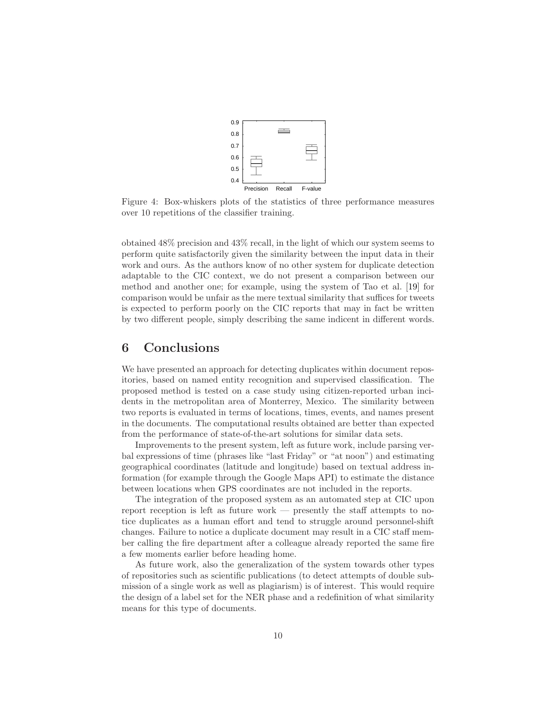

<span id="page-9-1"></span>Figure 4: Box-whiskers plots of the statistics of three performance measures over 10 repetitions of the classifier training.

obtained 48% precision and 43% recall, in the light of which our system seems to perform quite satisfactorily given the similarity between the input data in their work and ours. As the authors know of no other system for duplicate detection adaptable to the CIC context, we do not present a comparison between our method and another one; for example, using the system of Tao et al. [\[19\]](#page-11-2) for comparison would be unfair as the mere textual similarity that suffices for tweets is expected to perform poorly on the CIC reports that may in fact be written by two different people, simply describing the same indicent in different words.

### <span id="page-9-0"></span>6 Conclusions

We have presented an approach for detecting duplicates within document repositories, based on named entity recognition and supervised classification. The proposed method is tested on a case study using citizen-reported urban incidents in the metropolitan area of Monterrey, Mexico. The similarity between two reports is evaluated in terms of locations, times, events, and names present in the documents. The computational results obtained are better than expected from the performance of state-of-the-art solutions for similar data sets.

Improvements to the present system, left as future work, include parsing verbal expressions of time (phrases like "last Friday" or "at noon") and estimating geographical coordinates (latitude and longitude) based on textual address information (for example through the Google Maps API) to estimate the distance between locations when GPS coordinates are not included in the reports.

The integration of the proposed system as an automated step at CIC upon report reception is left as future work — presently the staff attempts to notice duplicates as a human effort and tend to struggle around personnel-shift changes. Failure to notice a duplicate document may result in a CIC staff member calling the fire department after a colleague already reported the same fire a few moments earlier before heading home.

As future work, also the generalization of the system towards other types of repositories such as scientific publications (to detect attempts of double submission of a single work as well as plagiarism) is of interest. This would require the design of a label set for the NER phase and a redefinition of what similarity means for this type of documents.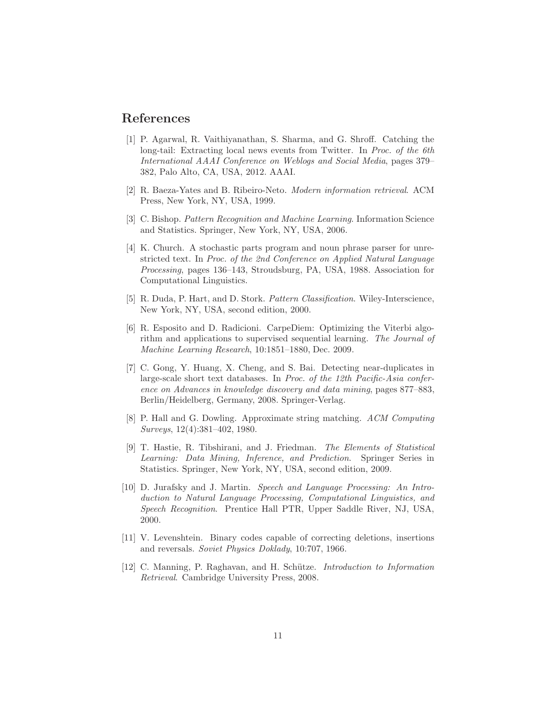### References

- <span id="page-10-9"></span>[1] P. Agarwal, R. Vaithiyanathan, S. Sharma, and G. Shroff. Catching the long-tail: Extracting local news events from Twitter. In *Proc. of the 6th International AAAI Conference on Weblogs and Social Media*, pages 379– 382, Palo Alto, CA, USA, 2012. AAAI.
- <span id="page-10-11"></span>[2] R. Baeza-Yates and B. Ribeiro-Neto. *Modern information retrieval*. ACM Press, New York, NY, USA, 1999.
- <span id="page-10-7"></span>[3] C. Bishop. *Pattern Recognition and Machine Learning*. Information Science and Statistics. Springer, New York, NY, USA, 2006.
- <span id="page-10-2"></span>[4] K. Church. A stochastic parts program and noun phrase parser for unrestricted text. In *Proc. of the 2nd Conference on Applied Natural Language Processing*, pages 136–143, Stroudsburg, PA, USA, 1988. Association for Computational Linguistics.
- <span id="page-10-0"></span>[5] R. Duda, P. Hart, and D. Stork. *Pattern Classification*. Wiley-Interscience, New York, NY, USA, second edition, 2000.
- <span id="page-10-3"></span>[6] R. Esposito and D. Radicioni. CarpeDiem: Optimizing the Viterbi algorithm and applications to supervised sequential learning. *The Journal of Machine Learning Research*, 10:1851–1880, Dec. 2009.
- <span id="page-10-10"></span>[7] C. Gong, Y. Huang, X. Cheng, and S. Bai. Detecting near-duplicates in large-scale short text databases. In *Proc. of the 12th Pacific-Asia conference on Advances in knowledge discovery and data mining*, pages 877–883, Berlin/Heidelberg, Germany, 2008. Springer-Verlag.
- <span id="page-10-5"></span>[8] P. Hall and G. Dowling. Approximate string matching. *ACM Computing Surveys*, 12(4):381–402, 1980.
- <span id="page-10-8"></span>[9] T. Hastie, R. Tibshirani, and J. Friedman. *The Elements of Statistical Learning: Data Mining, Inference, and Prediction*. Springer Series in Statistics. Springer, New York, NY, USA, second edition, 2009.
- <span id="page-10-1"></span>[10] D. Jurafsky and J. Martin. *Speech and Language Processing: An Introduction to Natural Language Processing, Computational Linguistics, and Speech Recognition*. Prentice Hall PTR, Upper Saddle River, NJ, USA, 2000.
- <span id="page-10-6"></span>[11] V. Levenshtein. Binary codes capable of correcting deletions, insertions and reversals. *Soviet Physics Doklady*, 10:707, 1966.
- <span id="page-10-4"></span>[12] C. Manning, P. Raghavan, and H. Sch¨utze. *Introduction to Information Retrieval*. Cambridge University Press, 2008.